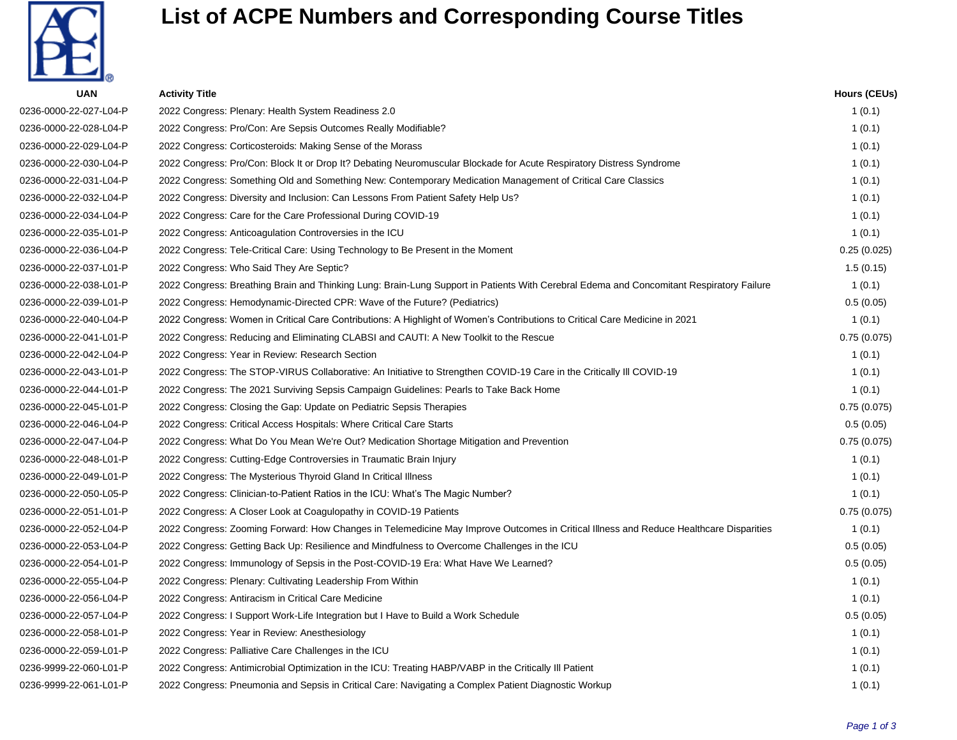

## **List of ACPE Numbers and Corresponding Course Titles**

| <b>UAN</b>             | <b>Activity Title</b>                                                                                                                    | <b>Hours (CEUs)</b> |
|------------------------|------------------------------------------------------------------------------------------------------------------------------------------|---------------------|
| 0236-0000-22-027-L04-P | 2022 Congress: Plenary: Health System Readiness 2.0                                                                                      | 1(0.1)              |
| 0236-0000-22-028-L04-P | 2022 Congress: Pro/Con: Are Sepsis Outcomes Really Modifiable?                                                                           | 1(0.1)              |
| 0236-0000-22-029-L04-P | 2022 Congress: Corticosteroids: Making Sense of the Morass                                                                               | 1(0.1)              |
| 0236-0000-22-030-L04-P | 2022 Congress: Pro/Con: Block It or Drop It? Debating Neuromuscular Blockade for Acute Respiratory Distress Syndrome                     | 1(0.1)              |
| 0236-0000-22-031-L04-P | 2022 Congress: Something Old and Something New: Contemporary Medication Management of Critical Care Classics                             | 1(0.1)              |
| 0236-0000-22-032-L04-P | 2022 Congress: Diversity and Inclusion: Can Lessons From Patient Safety Help Us?                                                         | 1(0.1)              |
| 0236-0000-22-034-L04-P | 2022 Congress: Care for the Care Professional During COVID-19                                                                            | 1(0.1)              |
| 0236-0000-22-035-L01-P | 2022 Congress: Anticoagulation Controversies in the ICU                                                                                  | 1(0.1)              |
| 0236-0000-22-036-L04-P | 2022 Congress: Tele-Critical Care: Using Technology to Be Present in the Moment                                                          | 0.25(0.025)         |
| 0236-0000-22-037-L01-P | 2022 Congress: Who Said They Are Septic?                                                                                                 | 1.5(0.15)           |
| 0236-0000-22-038-L01-P | 2022 Congress: Breathing Brain and Thinking Lung: Brain-Lung Support in Patients With Cerebral Edema and Concomitant Respiratory Failure | 1(0.1)              |
| 0236-0000-22-039-L01-P | 2022 Congress: Hemodynamic-Directed CPR: Wave of the Future? (Pediatrics)                                                                | 0.5(0.05)           |
| 0236-0000-22-040-L04-P | 2022 Congress: Women in Critical Care Contributions: A Highlight of Women's Contributions to Critical Care Medicine in 2021              | 1(0.1)              |
| 0236-0000-22-041-L01-P | 2022 Congress: Reducing and Eliminating CLABSI and CAUTI: A New Toolkit to the Rescue                                                    | 0.75(0.075)         |
| 0236-0000-22-042-L04-P | 2022 Congress: Year in Review: Research Section                                                                                          | 1(0.1)              |
| 0236-0000-22-043-L01-P | 2022 Congress: The STOP-VIRUS Collaborative: An Initiative to Strengthen COVID-19 Care in the Critically III COVID-19                    | 1(0.1)              |
| 0236-0000-22-044-L01-P | 2022 Congress: The 2021 Surviving Sepsis Campaign Guidelines: Pearls to Take Back Home                                                   | 1(0.1)              |
| 0236-0000-22-045-L01-P | 2022 Congress: Closing the Gap: Update on Pediatric Sepsis Therapies                                                                     | 0.75(0.075)         |
| 0236-0000-22-046-L04-P | 2022 Congress: Critical Access Hospitals: Where Critical Care Starts                                                                     | 0.5(0.05)           |
| 0236-0000-22-047-L04-P | 2022 Congress: What Do You Mean We're Out? Medication Shortage Mitigation and Prevention                                                 | 0.75(0.075)         |
| 0236-0000-22-048-L01-P | 2022 Congress: Cutting-Edge Controversies in Traumatic Brain Injury                                                                      | 1(0.1)              |
| 0236-0000-22-049-L01-P | 2022 Congress: The Mysterious Thyroid Gland In Critical Illness                                                                          | 1(0.1)              |
| 0236-0000-22-050-L05-P | 2022 Congress: Clinician-to-Patient Ratios in the ICU: What's The Magic Number?                                                          | 1(0.1)              |
| 0236-0000-22-051-L01-P | 2022 Congress: A Closer Look at Coagulopathy in COVID-19 Patients                                                                        | 0.75(0.075)         |
| 0236-0000-22-052-L04-P | 2022 Congress: Zooming Forward: How Changes in Telemedicine May Improve Outcomes in Critical Illness and Reduce Healthcare Disparities   | 1(0.1)              |
| 0236-0000-22-053-L04-P | 2022 Congress: Getting Back Up: Resilience and Mindfulness to Overcome Challenges in the ICU                                             | 0.5(0.05)           |
| 0236-0000-22-054-L01-P | 2022 Congress: Immunology of Sepsis in the Post-COVID-19 Era: What Have We Learned?                                                      | 0.5(0.05)           |
| 0236-0000-22-055-L04-P | 2022 Congress: Plenary: Cultivating Leadership From Within                                                                               | 1(0.1)              |
| 0236-0000-22-056-L04-P | 2022 Congress: Antiracism in Critical Care Medicine                                                                                      | 1(0.1)              |
| 0236-0000-22-057-L04-P | 2022 Congress: I Support Work-Life Integration but I Have to Build a Work Schedule                                                       | 0.5(0.05)           |
| 0236-0000-22-058-L01-P | 2022 Congress: Year in Review: Anesthesiology                                                                                            | 1(0.1)              |
| 0236-0000-22-059-L01-P | 2022 Congress: Palliative Care Challenges in the ICU                                                                                     | 1(0.1)              |
| 0236-9999-22-060-L01-P | 2022 Congress: Antimicrobial Optimization in the ICU: Treating HABP/VABP in the Critically III Patient                                   | 1(0.1)              |
| 0236-9999-22-061-L01-P | 2022 Congress: Pneumonia and Sepsis in Critical Care: Navigating a Complex Patient Diagnostic Workup                                     | 1(0.1)              |
|                        |                                                                                                                                          |                     |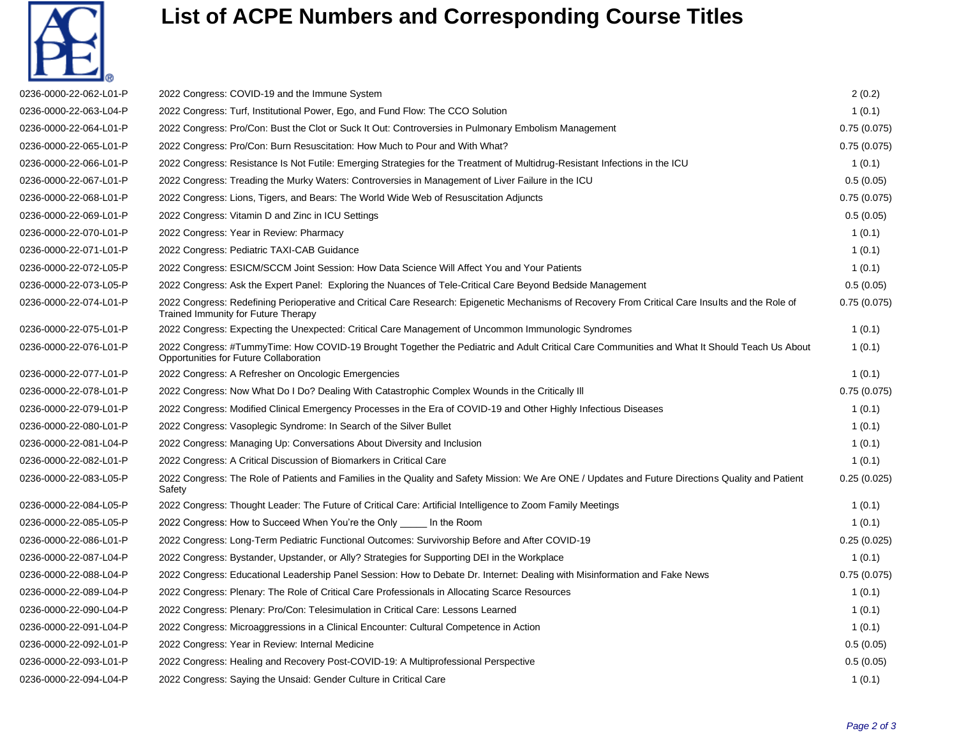

## **List of ACPE Numbers and Corresponding Course Titles**

| 0236-0000-22-062-L01-P | 2022 Congress: COVID-19 and the Immune System                                                                                                                                           | 2(0.2)      |
|------------------------|-----------------------------------------------------------------------------------------------------------------------------------------------------------------------------------------|-------------|
| 0236-0000-22-063-L04-P | 2022 Congress: Turf, Institutional Power, Ego, and Fund Flow: The CCO Solution                                                                                                          | 1(0.1)      |
| 0236-0000-22-064-L01-P | 2022 Congress: Pro/Con: Bust the Clot or Suck It Out: Controversies in Pulmonary Embolism Management                                                                                    | 0.75(0.075) |
| 0236-0000-22-065-L01-P | 2022 Congress: Pro/Con: Burn Resuscitation: How Much to Pour and With What?                                                                                                             | 0.75(0.075) |
| 0236-0000-22-066-L01-P | 2022 Congress: Resistance Is Not Futile: Emerging Strategies for the Treatment of Multidrug-Resistant Infections in the ICU                                                             | 1(0.1)      |
| 0236-0000-22-067-L01-P | 2022 Congress: Treading the Murky Waters: Controversies in Management of Liver Failure in the ICU                                                                                       | 0.5(0.05)   |
| 0236-0000-22-068-L01-P | 2022 Congress: Lions, Tigers, and Bears: The World Wide Web of Resuscitation Adjuncts                                                                                                   | 0.75(0.075) |
| 0236-0000-22-069-L01-P | 2022 Congress: Vitamin D and Zinc in ICU Settings                                                                                                                                       | 0.5(0.05)   |
| 0236-0000-22-070-L01-P | 2022 Congress: Year in Review: Pharmacy                                                                                                                                                 | 1(0.1)      |
| 0236-0000-22-071-L01-P | 2022 Congress: Pediatric TAXI-CAB Guidance                                                                                                                                              | 1(0.1)      |
| 0236-0000-22-072-L05-P | 2022 Congress: ESICM/SCCM Joint Session: How Data Science Will Affect You and Your Patients                                                                                             | 1(0.1)      |
| 0236-0000-22-073-L05-P | 2022 Congress: Ask the Expert Panel: Exploring the Nuances of Tele-Critical Care Beyond Bedside Management                                                                              | 0.5(0.05)   |
| 0236-0000-22-074-L01-P | 2022 Congress: Redefining Perioperative and Critical Care Research: Epigenetic Mechanisms of Recovery From Critical Care Insults and the Role of<br>Trained Immunity for Future Therapy | 0.75(0.075) |
| 0236-0000-22-075-L01-P | 2022 Congress: Expecting the Unexpected: Critical Care Management of Uncommon Immunologic Syndromes                                                                                     | 1(0.1)      |
| 0236-0000-22-076-L01-P | 2022 Congress: #TummyTime: How COVID-19 Brought Together the Pediatric and Adult Critical Care Communities and What It Should Teach Us About<br>Opportunities for Future Collaboration  | 1(0.1)      |
| 0236-0000-22-077-L01-P | 2022 Congress: A Refresher on Oncologic Emergencies                                                                                                                                     | 1(0.1)      |
| 0236-0000-22-078-L01-P | 2022 Congress: Now What Do I Do? Dealing With Catastrophic Complex Wounds in the Critically III                                                                                         | 0.75(0.075) |
| 0236-0000-22-079-L01-P | 2022 Congress: Modified Clinical Emergency Processes in the Era of COVID-19 and Other Highly Infectious Diseases                                                                        | 1(0.1)      |
| 0236-0000-22-080-L01-P | 2022 Congress: Vasoplegic Syndrome: In Search of the Silver Bullet                                                                                                                      | 1(0.1)      |
| 0236-0000-22-081-L04-P | 2022 Congress: Managing Up: Conversations About Diversity and Inclusion                                                                                                                 | 1(0.1)      |
| 0236-0000-22-082-L01-P | 2022 Congress: A Critical Discussion of Biomarkers in Critical Care                                                                                                                     | 1(0.1)      |
| 0236-0000-22-083-L05-P | 2022 Congress: The Role of Patients and Families in the Quality and Safety Mission: We Are ONE / Updates and Future Directions Quality and Patient<br>Safety                            | 0.25(0.025) |
| 0236-0000-22-084-L05-P | 2022 Congress: Thought Leader: The Future of Critical Care: Artificial Intelligence to Zoom Family Meetings                                                                             | 1(0.1)      |
| 0236-0000-22-085-L05-P | 2022 Congress: How to Succeed When You're the Only In the Room                                                                                                                          | 1(0.1)      |
| 0236-0000-22-086-L01-P | 2022 Congress: Long-Term Pediatric Functional Outcomes: Survivorship Before and After COVID-19                                                                                          | 0.25(0.025) |
| 0236-0000-22-087-L04-P | 2022 Congress: Bystander, Upstander, or Ally? Strategies for Supporting DEI in the Workplace                                                                                            | 1(0.1)      |
| 0236-0000-22-088-L04-P | 2022 Congress: Educational Leadership Panel Session: How to Debate Dr. Internet: Dealing with Misinformation and Fake News                                                              | 0.75(0.075) |
| 0236-0000-22-089-L04-P | 2022 Congress: Plenary: The Role of Critical Care Professionals in Allocating Scarce Resources                                                                                          | 1(0.1)      |
| 0236-0000-22-090-L04-P | 2022 Congress: Plenary: Pro/Con: Telesimulation in Critical Care: Lessons Learned                                                                                                       | 1(0.1)      |
| 0236-0000-22-091-L04-P | 2022 Congress: Microaggressions in a Clinical Encounter: Cultural Competence in Action                                                                                                  | 1(0.1)      |
| 0236-0000-22-092-L01-P | 2022 Congress: Year in Review: Internal Medicine                                                                                                                                        | 0.5(0.05)   |
| 0236-0000-22-093-L01-P | 2022 Congress: Healing and Recovery Post-COVID-19: A Multiprofessional Perspective                                                                                                      | 0.5(0.05)   |
| 0236-0000-22-094-L04-P | 2022 Congress: Saying the Unsaid: Gender Culture in Critical Care                                                                                                                       | 1(0.1)      |